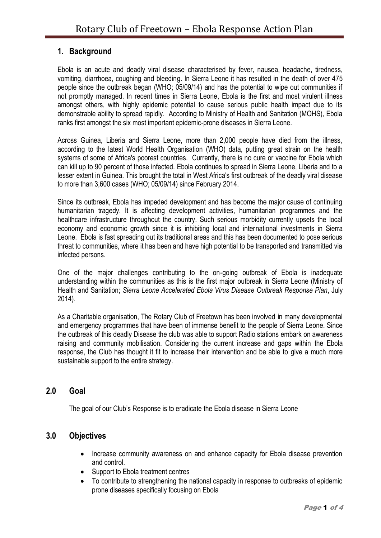# **1. Background**

Ebola is an acute and deadly viral disease characterised by fever, nausea, headache, tiredness, vomiting, diarrhoea, coughing and bleeding. In Sierra Leone it has resulted in the death of over 475 people since the outbreak began (WHO; 05/09/14) and has the potential to wipe out communities if not promptly managed. In recent times in Sierra Leone, Ebola is the first and most virulent illness amongst others, with highly epidemic potential to cause serious public health impact due to its demonstrable ability to spread rapidly. According to Ministry of Health and Sanitation (MOHS), Ebola ranks first amongst the six most important epidemic-prone diseases in Sierra Leone.

Across Guinea, Liberia and Sierra Leone, more than 2,000 people have died from the illness, according to the latest [World Health Organisation](https://search.yahoo.com/search?p=World+Health+Organisation&fr=csl-news) (WHO) data, putting great strain on the health systems of some of Africa's poorest countries.Currently, there is no cure or vaccine for Ebola which can kill up to 90 percent of those infected. Ebola continues to spread in Sierra Leone, Liberia and to a lesser extent in Guinea. This brought the total in West Africa's first outbreak of the deadly viral disease to more than 3,600 cases (WHO; 05/09/14) since February 2014.

Since its outbreak, Ebola has impeded development and has become the major cause of continuing humanitarian tragedy. It is affecting development activities, humanitarian programmes and the healthcare infrastructure throughout the country. Such serious morbidity currently upsets the local economy and economic growth since it is inhibiting local and international investments in Sierra Leone. Ebola is fast spreading out its traditional areas and this has been documented to pose serious threat to communities, where it has been and have high potential to be transported and transmitted via infected persons.

One of the major challenges contributing to the on-going outbreak of Ebola is inadequate understanding within the communities as this is the first major outbreak in Sierra Leone (Ministry of Health and Sanitation; *Sierra Leone Accelerated Ebola Virus Disease Outbreak Response Plan*, July 2014).

As a Charitable organisation, The Rotary Club of Freetown has been involved in many developmental and emergency programmes that have been of immense benefit to the people of Sierra Leone. Since the outbreak of this deadly Disease the club was able to support Radio stations embark on awareness raising and community mobilisation. Considering the current increase and gaps within the Ebola response, the Club has thought it fit to increase their intervention and be able to give a much more sustainable support to the entire strategy.

## **2.0 Goal**

The goal of our Club's Response is to eradicate the Ebola disease in Sierra Leone

# **3.0 Objectives**

- Increase community awareness on and enhance capacity for Ebola disease prevention and control.
- Support to Ebola treatment centres
- To contribute to strengthening the national capacity in response to outbreaks of epidemic prone diseases specifically focusing on Ebola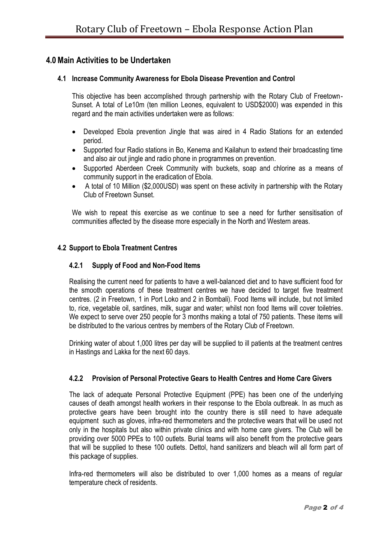## **4.0Main Activities to be Undertaken**

### **4.1 Increase Community Awareness for Ebola Disease Prevention and Control**

This objective has been accomplished through partnership with the Rotary Club of Freetown-Sunset. A total of Le10m (ten million Leones, equivalent to USD\$2000) was expended in this regard and the main activities undertaken were as follows:

- Developed Ebola prevention Jingle that was aired in 4 Radio Stations for an extended period.
- Supported four Radio stations in Bo, Kenema and Kailahun to extend their broadcasting time and also air out jingle and radio phone in programmes on prevention.
- Supported Aberdeen Creek Community with buckets, soap and chlorine as a means of community support in the eradication of Ebola.
- A total of 10 Million (\$2,000USD) was spent on these activity in partnership with the Rotary Club of Freetown Sunset.

We wish to repeat this exercise as we continue to see a need for further sensitisation of communities affected by the disease more especially in the North and Western areas.

#### **4.2 Support to Ebola Treatment Centres**

#### **4.2.1 Supply of Food and Non-Food Items**

Realising the current need for patients to have a well-balanced diet and to have sufficient food for the smooth operations of these treatment centres we have decided to target five treatment centres. (2 in Freetown, 1 in Port Loko and 2 in Bombali). Food Items will include, but not limited to, rice, vegetable oil, sardines, milk, sugar and water; whilst non food Items will cover toiletries. We expect to serve over 250 people for 3 months making a total of 750 patients. These items will be distributed to the various centres by members of the Rotary Club of Freetown.

Drinking water of about 1,000 litres per day will be supplied to ill patients at the treatment centres in Hastings and Lakka for the next 60 days.

## **4.2.2 Provision of Personal Protective Gears to Health Centres and Home Care Givers**

The lack of adequate Personal Protective Equipment (PPE) has been one of the underlying causes of death amongst health workers in their response to the Ebola outbreak. In as much as protective gears have been brought into the country there is still need to have adequate equipment such as gloves, infra-red thermometers and the protective wears that will be used not only in the hospitals but also within private clinics and with home care givers. The Club will be providing over 5000 PPEs to 100 outlets. Burial teams will also benefit from the protective gears that will be supplied to these 100 outlets. Dettol, hand sanitizers and bleach will all form part of this package of supplies.

Infra-red thermometers will also be distributed to over 1,000 homes as a means of regular temperature check of residents.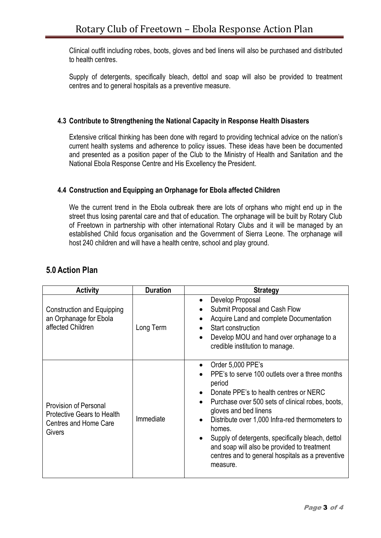Clinical outfit including robes, boots, gloves and bed linens will also be purchased and distributed to health centres.

Supply of detergents, specifically bleach, dettol and soap will also be provided to treatment centres and to general hospitals as a preventive measure.

## **4.3 Contribute to Strengthening the National Capacity in Response Health Disasters**

Extensive critical thinking has been done with regard to providing technical advice on the nation's current health systems and adherence to policy issues. These ideas have been be documented and presented as a position paper of the Club to the Ministry of Health and Sanitation and the National Ebola Response Centre and His Excellency the President.

## **4.4 Construction and Equipping an Orphanage for Ebola affected Children**

We the current trend in the Ebola outbreak there are lots of orphans who might end up in the street thus losing parental care and that of education. The orphanage will be built by Rotary Club of Freetown in partnership with other international Rotary Clubs and it will be managed by an established Child focus organisation and the Government of Sierra Leone. The orphanage will host 240 children and will have a health centre, school and play ground.

| <b>Activity</b>                                                                                      | <b>Duration</b> | <b>Strategy</b>                                                                                                                                                                                                                                                                                                                                                                                                                       |
|------------------------------------------------------------------------------------------------------|-----------------|---------------------------------------------------------------------------------------------------------------------------------------------------------------------------------------------------------------------------------------------------------------------------------------------------------------------------------------------------------------------------------------------------------------------------------------|
| Construction and Equipping<br>an Orphanage for Ebola<br>affected Children                            | Long Term       | Develop Proposal<br>Submit Proposal and Cash Flow<br>Acquire Land and complete Documentation<br>Start construction<br>Develop MOU and hand over orphanage to a<br>credible institution to manage.                                                                                                                                                                                                                                     |
| <b>Provision of Personal</b><br><b>Protective Gears to Health</b><br>Centres and Home Care<br>Givers | Immediate       | Order 5,000 PPE's<br>PPE's to serve 100 outlets over a three months<br>period<br>Donate PPE's to health centres or NERC<br>Purchase over 500 sets of clinical robes, boots,<br>gloves and bed linens<br>Distribute over 1,000 Infra-red thermometers to<br>homes.<br>Supply of detergents, specifically bleach, dettol<br>and soap will also be provided to treatment<br>centres and to general hospitals as a preventive<br>measure. |

# **5.0 Action Plan**